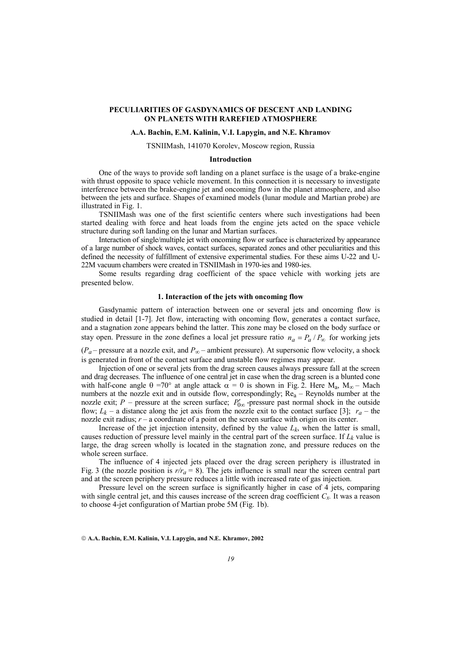# **PECULIARITIES OF GASDYNAMICS OF DESCENT AND LANDING ON PLANETS WITH RAREFIED ATMOSPHERE**

# **A.A. Bachin, E.M. Kalinin, V.I. Lapygin, and N.E. Khramov**

#### TSNIIMash, 141070 Korolev, Moscow region, Russia

## **Introduction**

One of the ways to provide soft landing on a planet surface is the usage of a brake-engine with thrust opposite to space vehicle movement. In this connection it is necessary to investigate interference between the brake-engine jet and oncoming flow in the planet atmosphere, and also between the jets and surface. Shapes of examined models (lunar module and Martian probe) are illustrated in Fig. 1.

TSNIIMash was one of the first scientific centers where such investigations had been started dealing with force and heat loads from the engine jets acted on the space vehicle structure during soft landing on the lunar and Martian surfaces.

Interaction of single/multiple jet with oncoming flow or surface is characterized by appearance of a large number of shock waves, contact surfaces, separated zones and other peculiarities and this defined the necessity of fulfillment of extensive experimental studies. For these aims U-22 and U-22M vacuum chambers were created in TSNIIMash in 1970-ies and 1980-ies.

Some results regarding drag coefficient of the space vehicle with working jets are presented below.

## **1. Interaction of the jets with oncoming flow**

 Gasdynamic pattern of interaction between one or several jets and oncoming flow is studied in detail [1-7]. Jet flow, interacting with oncoming flow, generates a contact surface, and a stagnation zone appears behind the latter. This zone may be closed on the body surface or stay open. Pressure in the zone defines a local jet pressure ratio  $n_a = P_a / P_\infty$  for working jets

(*Pa* – pressure at a nozzle exit, and *P*∞ – ambient pressure). At supersonic flow velocity, a shock is generated in front of the contact surface and unstable flow regimes may appear.

 Injection of one or several jets from the drag screen causes always pressure fall at the screen and drag decreases. The influence of one central jet in case when the drag screen is a blunted cone with half-cone angle  $\theta = 70^{\circ}$  at angle attack  $\alpha = 0$  is shown in Fig. 2. Here  $M_a$ ,  $M_{\infty}$  – Mach numbers at the nozzle exit and in outside flow, correspondingly;  $Re_a$  – Reynolds number at the nozzle exit; *P* – pressure at the screen surface;  $P'_{0\infty}$ -pressure past normal shock in the outside flow;  $L_k$  – a distance along the jet axis from the nozzle exit to the contact surface [3];  $r_a$  – the nozzle exit radius; *r* – a coordinate of a point on the screen surface with origin on its center.

Increase of the jet injection intensity, defined by the value  $L_k$ , when the latter is small, causes reduction of pressure level mainly in the central part of the screen surface. If  $L<sub>k</sub>$  value is large, the drag screen wholly is located in the stagnation zone, and pressure reduces on the whole screen surface.

 The influence of 4 injected jets placed over the drag screen periphery is illustrated in Fig. 3 (the nozzle position is  $r/r_a = 8$ ). The jets influence is small near the screen central part and at the screen periphery pressure reduces a little with increased rate of gas injection.

Pressure level on the screen surface is significantly higher in case of 4 jets, comparing with single central jet, and this causes increase of the screen drag coefficient *Cx.* It was a reason to choose 4-jet configuration of Martian probe 5M (Fig. 1b).

**A.A. Bachin, E.M. Kalinin, V.I. Lapygin, and N.E. Khramov, 2002**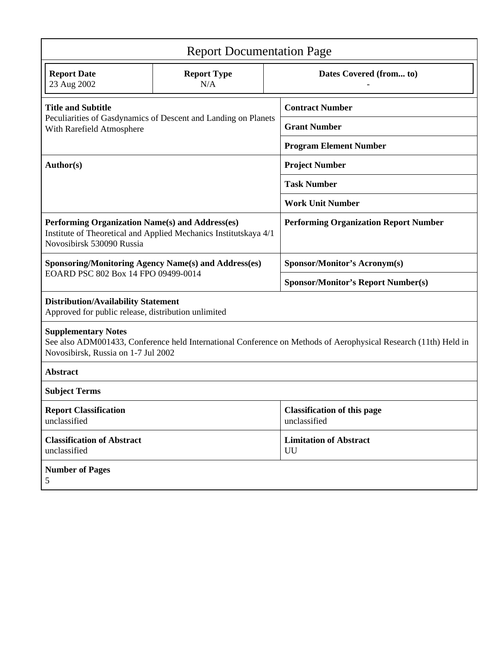| <b>Report Documentation Page</b>                                                                                                                                                     |                           |                         |                                                    |
|--------------------------------------------------------------------------------------------------------------------------------------------------------------------------------------|---------------------------|-------------------------|----------------------------------------------------|
| <b>Report Date</b><br>23 Aug 2002                                                                                                                                                    | <b>Report Type</b><br>N/A | Dates Covered (from to) |                                                    |
| <b>Title and Subtitle</b><br>Peculiarities of Gasdynamics of Descent and Landing on Planets<br>With Rarefield Atmosphere                                                             |                           |                         | <b>Contract Number</b>                             |
|                                                                                                                                                                                      |                           |                         | <b>Grant Number</b>                                |
|                                                                                                                                                                                      |                           |                         | <b>Program Element Number</b>                      |
| Author(s)                                                                                                                                                                            |                           |                         | <b>Project Number</b>                              |
|                                                                                                                                                                                      |                           |                         | <b>Task Number</b>                                 |
|                                                                                                                                                                                      |                           |                         | <b>Work Unit Number</b>                            |
| Performing Organization Name(s) and Address(es)<br>Institute of Theoretical and Applied Mechanics Institutskaya 4/1<br>Novosibirsk 530090 Russia                                     |                           |                         | <b>Performing Organization Report Number</b>       |
| <b>Sponsoring/Monitoring Agency Name(s) and Address(es)</b>                                                                                                                          |                           |                         | <b>Sponsor/Monitor's Acronym(s)</b>                |
| EOARD PSC 802 Box 14 FPO 09499-0014                                                                                                                                                  |                           |                         | <b>Sponsor/Monitor's Report Number(s)</b>          |
| <b>Distribution/Availability Statement</b><br>Approved for public release, distribution unlimited                                                                                    |                           |                         |                                                    |
| <b>Supplementary Notes</b><br>See also ADM001433, Conference held International Conference on Methods of Aerophysical Research (11th) Held in<br>Novosibirsk, Russia on 1-7 Jul 2002 |                           |                         |                                                    |
| <b>Abstract</b>                                                                                                                                                                      |                           |                         |                                                    |
| <b>Subject Terms</b>                                                                                                                                                                 |                           |                         |                                                    |
| <b>Report Classification</b><br>unclassified                                                                                                                                         |                           |                         | <b>Classification of this page</b><br>unclassified |
| <b>Classification of Abstract</b><br>unclassified                                                                                                                                    |                           |                         | <b>Limitation of Abstract</b><br>UU                |
| <b>Number of Pages</b><br>5                                                                                                                                                          |                           |                         |                                                    |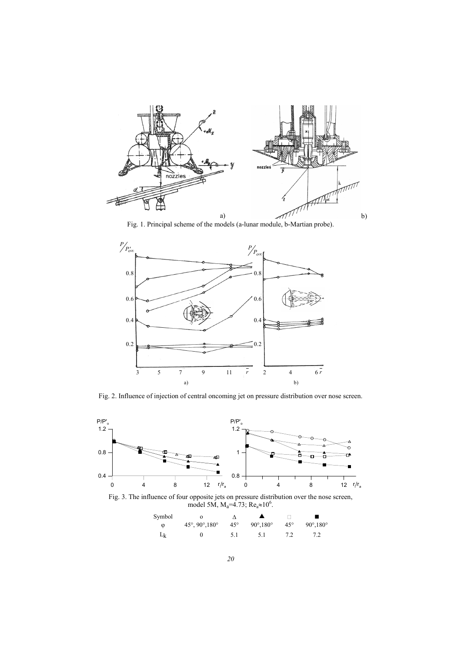

Fig. 1. Principal scheme of the models (a-lunar module, b-Martian probe).



Fig. 2. Influence of injection of central oncoming jet on pressure distribution over nose screen.



Fig. 3. The influence of four opposite jets on pressure distribution over the nose screen, model 5M, M<sub>a</sub>=4.73; Re<sub>a</sub>≈10<sup>6</sup>.

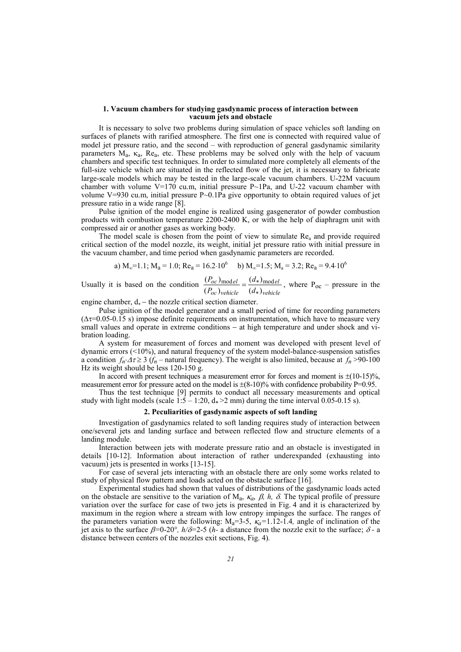## **1. Vacuum chambers for studying gasdynamic process of interaction between vacuum jets and obstacle**

 It is necessary to solve two problems during simulation of space vehicles soft landing on surfaces of planets with rarified atmosphere. The first one is connected with required value of model jet pressure ratio, and the second – with reproduction of general gasdynamic similarity parameters  $M_a$ ,  $\kappa_a$ ,  $Re_a$ , etc. These problems may be solved only with the help of vacuum chambers and specific test techniques. In order to simulated more completely all elements of the full-size vehicle which are situated in the reflected flow of the jet, it is necessary to fabricate large-scale models which may be tested in the large-scale vacuum chambers. U-22M vacuum chamber with volume V=170 cu.m, initial pressure  $P \sim 1Pa$ , and U-22 vacuum chamber with volume V=930 cu.m, initial pressure  $P \sim 0.1Pa$  give opportunity to obtain required values of jet pressure ratio in a wide range [8].

Pulse ignition of the model engine is realized using gasgenerator of powder combustion products with combustion temperature 2200-2400 K, or with the help of diaphragm unit with compressed air or another gases as working body.

The model scale is chosen from the point of view to simulate  $Re_a$  and provide required critical section of the model nozzle, its weight, initial jet pressure ratio with initial pressure in the vacuum chamber, and time period when gasdynamic parameters are recorded.

a) 
$$
M_{\infty} = 1.1
$$
;  $M_{a} = 1.0$ ;  $Re_{a} = 16.2 \cdot 10^{6}$  b)  $M_{\infty} = 1.5$ ;  $M_{a} = 3.2$ ;  $Re_{a} = 9.4 \cdot 10^{6}$ 

Usually it is based on the condition *vehicle el oc vehicle oc el d d P P*  $(d_*)$  $(d_*)$  $(P_{oc})$  $(P_{oc})_{\text{model}} \_ (d_*)_{\text{mod}}$ ∗  $=\frac{(a_{*})_{\text{model}}}{(d_{*})}$ , where P<sub>oc</sub> – pressure in the

engine chamber,  $d_*$  – the nozzle critical section diameter.

 Pulse ignition of the model generator and a small period of time for recording parameters (∆τ=0.05-0.15 s) impose definite requirements on instrumentation, which have to measure very small values and operate in extreme conditions – at high temperature and under shock and vibration loading.

 A system for measurement of forces and moment was developed with present level of dynamic errors (<10%), and natural frequency of the system model-balance-suspension satisfies a condition  $f_n \Delta \tau \geq 3$  ( $f_n$  – natural frequency). The weight is also limited, because at  $f_n > 90-100$ Hz its weight should be less 120-150 g.

In accord with present techniques a measurement error for forces and moment is  $\pm (10-15)\%$ . measurement error for pressure acted on the model is  $\pm (8-10)\%$  with confidence probability P=0.95.

 Thus the test technique [9] permits to conduct all necessary measurements and optical study with light models (scale  $1:5 - 1:20$ ,  $d_* > 2$  mm) during the time interval 0.05-0.15 s).

# **2. Peculiarities of gasdynamic aspects of soft landing**

 Investigation of gasdynamics related to soft landing requires study of interaction between one/several jets and landing surface and between reflected flow and structure elements of a landing module.

 Interaction between jets with moderate pressure ratio and an obstacle is investigated in details [10-12]. Information about interaction of rather underexpanded (exhausting into vacuum) jets is presented in works [13-15].

 For case of several jets interacting with an obstacle there are only some works related to study of physical flow pattern and loads acted on the obstacle surface [16].

 Experimental studies had shown that values of distributions of the gasdynamic loads acted on the obstacle are sensitive to the variation of  $M_a$ ,  $\kappa_a$ ,  $\beta$ ,  $h$ ,  $\delta$ . The typical profile of pressure variation over the surface for case of two jets is presented in Fig. 4 and it is characterized by maximum in the region where a stream with low entropy impinges the surface. The ranges of the parameters variation were the following:  $M_a=3-5$ ,  $\kappa_a=1.12-1.4$ , angle of inclination of the jet axis to the surface β*=*0-20°*, h/*δ*=*2-5 (*h-* a distance from the nozzle exit to the surface; <sup>δ</sup> *-* a distance between centers of the nozzles exit sections, Fig. 4)*.*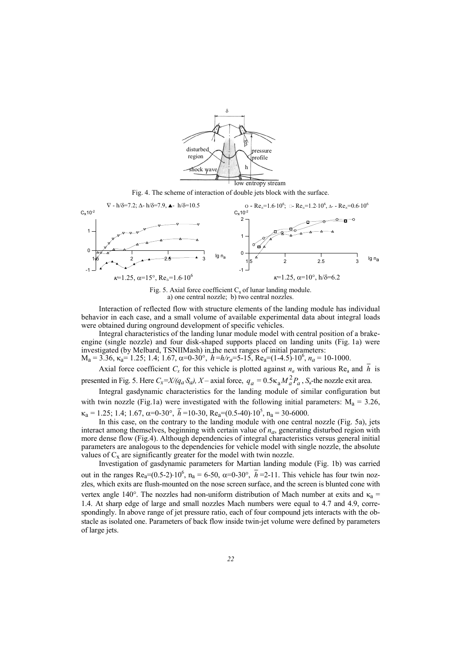

Fig. 4. The scheme of interaction of double jets block with the surface.



Fig. 5. Axial force coefficient  $C_x$  of lunar landing module.<br>a) one central nozzle; b) two central nozzles.

 Interaction of reflected flow with structure elements of the landing module has individual behavior in each case, and a small volume of available experimental data about integral loads were obtained during onground development of specific vehicles.

 Integral characteristics of the landing lunar module model with central position of a brakeengine (single nozzle) and four disk-shaped supports placed on landing units (Fig. 1a) were investigated (by Melbard, TSNIIMash) in the next ranges of initial parameters:

 $M_a = 3.36$ ,  $\kappa_a = 1.25$ ; 1.4; 1.67,  $\alpha = 0.30^\circ$ ,  $h = h/r_a = 5.15$ ,  $Re_a = (1.4.5) \cdot 10^6$ ,  $n_a = 10.1000$ .

Axial force coefficient  $C_x$  for this vehicle is plotted against  $n_a$  with various Re<sub>a</sub> and  $\overline{h}$  is presented in Fig. 5. Here  $C_x = X/(q_a \cdot S_a)$ ,  $X$  – axial force,  $q_a = 0.5 \kappa_a M_a^2 P_a$ ,  $S_a$ -the nozzle exit area.

 Integral gasdynamic characteristics for the landing module of similar configuration but with twin nozzle (Fig.1a) were investigated with the following initial parameters:  $M_a = 3.26$ ,  $\kappa_a = 1.25; 1.4; 1.67, \alpha = 0.30^\circ, \bar{h} = 10.30, \text{Re}_a = (0.5.40) \cdot 10^5, \text{ n}_a = 30.6000.$ 

 In this case, on the contrary to the landing module with one central nozzle (Fig. 5a), jets interact among themselves, beginning with certain value of *na*, generating disturbed region with more dense flow (Fig.4). Although dependencies of integral characteristics versus general initial parameters are analogous to the dependencies for vehicle model with single nozzle, the absolute values of  $C_x$  are significantly greater for the model with twin nozzle.

 Investigation of gasdynamic parameters for Martian landing module (Fig. 1b) was carried out in the ranges Re<sub>a</sub>=(0.5-2)⋅10<sup>6</sup>, n<sub>a</sub> = 6-50,  $\alpha$ =0-30°,  $h$ <sup>=2</sup>-11. This vehicle has four twin nozzles, which exits are flush-mounted on the nose screen surface, and the screen is blunted cone with vertex angle 140°. The nozzles had non-uniform distribution of Mach number at exits and  $\kappa_a$  = 1.4. At sharp edge of large and small nozzles Mach numbers were equal to 4.7 and 4.9, correspondingly. In above range of jet pressure ratio, each of four compound jets interacts with the obstacle as isolated one. Parameters of back flow inside twin-jet volume were defined by parameters of large jets.